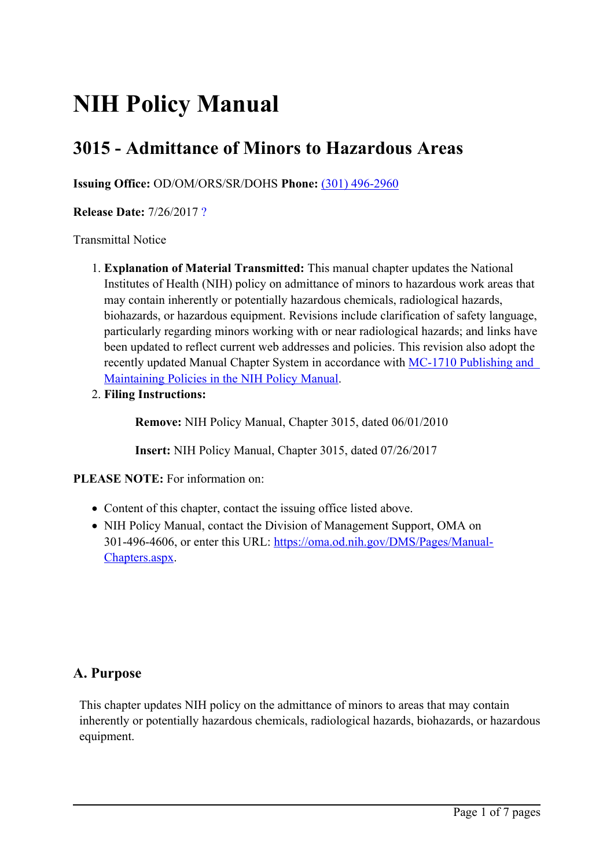# **NIH Policy Manual**

# **3015 - Admittance of Minors to Hazardous Areas**

**Issuing Office:** OD/OM/ORS/SR/DOHS **Phone:** (301) [496-2960](tel:(301) 496-2960)

**Release Date:** 7/26/2017 [?](javascript:void(0);)

Transmittal Notice

- 1. **Explanation of Material Transmitted:** This manual chapter updates the National Institutes of Health (NIH) policy on admittance of minors to hazardous work areas that may contain inherently or potentially hazardous chemicals, radiological hazards, biohazards, or hazardous equipment. Revisions include clarification of safety language, particularly regarding minors working with or near radiological hazards; and links have been updated to reflect current web addresses and policies. This revision also adopt the recently updated Manual Chapter System in accordance with MC-1710 [Publishing](https://policymanual.nih.gov/1710) and [Maintaining](https://policymanual.nih.gov/1710) Policies in the NIH Policy Manual.
- 2. **Filing Instructions:**

**Remove:** NIH Policy Manual, Chapter 3015, dated 06/01/2010

**Insert:** NIH Policy Manual, Chapter 3015, dated 07/26/2017

**PLEASE NOTE:** For information on:

- Content of this chapter, contact the issuing office listed above.
- NIH Policy Manual, contact the Division of Management Support, OMA on 301-496-4606, or enter this URL: [https://oma.od.nih.gov/DMS/Pages/Manual-](https://oma.od.nih.gov/DMS/Pages/Manual-Chapters.aspx)[Chapters.aspx](https://oma.od.nih.gov/DMS/Pages/Manual-Chapters.aspx).

#### **A. Purpose**

This chapter updates NIH policy on the admittance of minors to areas that may contain inherently or potentially hazardous chemicals, radiological hazards, biohazards, or hazardous equipment.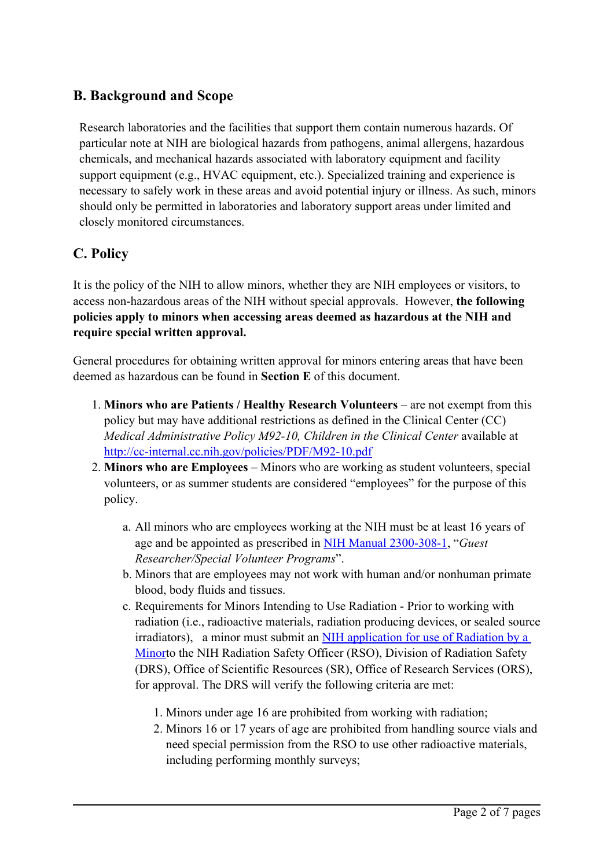# **B. Background and Scope**

Research laboratories and the facilities that suppor<sup>t</sup> them contain numerous hazards. Of particular note at NIH are biological hazards from pathogens, animal allergens, hazardous chemicals, and mechanical hazards associated with laboratory equipment and facility suppor<sup>t</sup> equipment (e.g., HVAC equipment, etc.). Specialized training and experience is necessary to safely work in these areas and avoid potential injury or illness. As such, minors should only be permitted in laboratories and laboratory suppor<sup>t</sup> areas under limited and closely monitored circumstances.

# **C. Policy**

It is the policy of the NIH to allow minors, whether they are NIH employees or visitors, to access non-hazardous areas of the NIH without special approvals. However, **the following policies apply to minors when accessing areas deemed as hazardous at the NIH and require special written approval.**

General procedures for obtaining written approval for minors entering areas that have been deemed as hazardous can be found in **Section E** of this document.

- 1. **Minors who are Patients / Healthy Research Volunteers** are not exemp<sup>t</sup> from this policy but may have additional restrictions as defined in the Clinical Center (CC) *Medical Administrative Policy M92-10, Children in the Clinical Center* available at <http://cc-internal.cc.nih.gov/policies/PDF/M92-10.pdf>
- 2. **Minors who are Employees** Minors who are working as student volunteers, special volunteers, or as summer students are considered "employees" for the purpose of this policy.
	- a. All minors who are employees working at the NIH must be at least 16 years of age and be appointed as prescribed in NIH Manual 2300-308-1, "*Guest Researcher/Special Volunteer Programs*".
	- b. Minors that are employees may not work with human and/or nonhuman primate blood, body fluids and tissues.
	- c. Requirements for Minors Intending to Use Radiation Prior to working with radiation (i.e., radioactive materials, radiation producing devices, or sealed source irradiators), <sup>a</sup> minor must submit an NIH application for use of [Radiation](http://drs.ors.od.nih.gov/training/Pages/minor.aspx) by <sup>a</sup> [Minor](http://drs.ors.od.nih.gov/training/Pages/minor.aspx)to the NIH Radiation Safety Officer (RSO), Division of Radiation Safety (DRS), Office of Scientific Resources (SR), Office of Research Services (ORS), for approval. The DRS will verify the following criteria are met:
		- 1. Minors under age 16 are prohibited from working with radiation;
		- 2. Minors 16 or 17 years of age are prohibited from handling source vials and need special permission from the RSO to use other radioactive materials, including performing monthly surveys;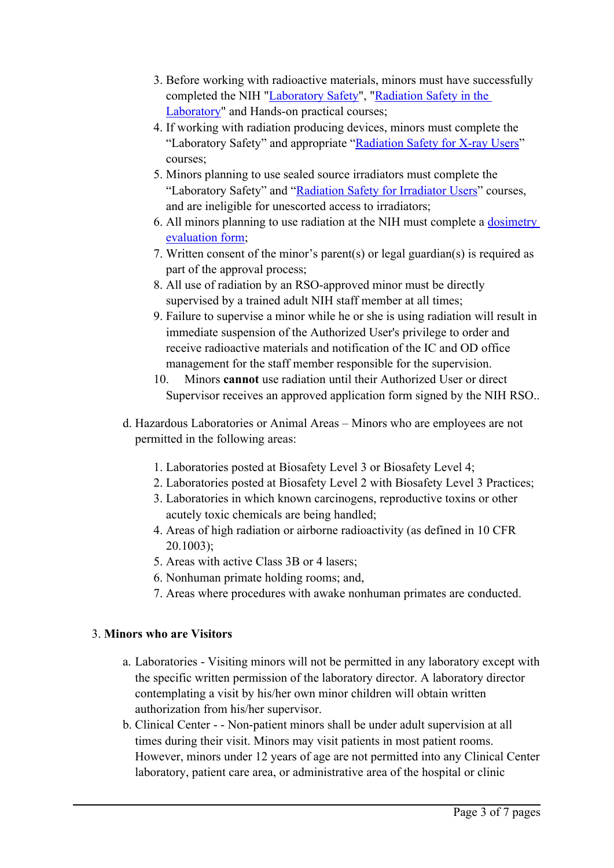- 3. Before working with radioactive materials, minors must have successfully completed the NIH "[Laboratory](https://www.safetytraining.nih.gov/#1) Safety", "[Radiation](https://drsportal.ors.od.nih.gov/pls/onlinecourse/training/start_registration.html) Safety in the [Laboratory](https://drsportal.ors.od.nih.gov/pls/onlinecourse/training/start_registration.html)" and Hands-on practical courses;
- 4. If working with radiation producing devices, minors must complete the "Laboratory Safety" and appropriate "[Radiation](http://drs.ors.od.nih.gov/training/Pages/index.aspx) Safety for X-ray Users" courses;
- 5. Minors planning to use sealed source irradiators must complete the "Laboratory Safety" and "[Radiation](https://drsportal.ors.od.nih.gov/training/rsiu/html/) Safety for Irradiator Users" courses, and are ineligible for unescorted access to irradiators;
- 6. All minors planning to use radiation at the NIH must complete <sup>a</sup> [dosimetry](https://drsportal.ors.od.nih.gov/pls/onlinecourse/training/dosimetry_form.html) [evaluation](https://drsportal.ors.od.nih.gov/pls/onlinecourse/training/dosimetry_form.html) form;
- 7. Written consent of the minor'<sup>s</sup> parent(s) or legal guardian(s) is required as par<sup>t</sup> of the approval process;
- 8. All use of radiation by an RSO-approved minor must be directly supervised by <sup>a</sup> trained adult NIH staff member at all times;
- 9. Failure to supervise <sup>a</sup> minor while he or she is using radiation will result in immediate suspension of the Authorized User's privilege to order and receive radioactive materials and notification of the IC and OD office managemen<sup>t</sup> for the staff member responsible for the supervision.
- 10. Minors **cannot** use radiation until their Authorized User or direct Supervisor receives an approved application form signed by the NIH RSO..
- d. Hazardous Laboratories or Animal Areas Minors who are employees are not permitted in the following areas:
	- 1. Laboratories posted at Biosafety Level 3 or Biosafety Level 4;
	- 2. Laboratories posted at Biosafety Level 2 with Biosafety Level 3 Practices;
	- 3. Laboratories in which known carcinogens, reproductive toxins or other acutely toxic chemicals are being handled;
	- 4. Areas of high radiation or airborne radioactivity (as defined in 10 CFR 20.1003);
	- 5. Areas with active Class 3B or 4 lasers;
	- 6. Nonhuman primate holding rooms; and,
	- 7. Areas where procedures with awake nonhuman primates are conducted.

#### 3. **Minors who are Visitors**

- a. Laboratories Visiting minors will not be permitted in any laboratory excep<sup>t</sup> with the specific written permission of the laboratory director. Alaboratory director contemplating <sup>a</sup> visit by his/her own minor children will obtain written authorization from his/her supervisor.
- b. Clinical Center - Non-patient minors shall be under adult supervision at all times during their visit. Minors may visit patients in most patient rooms. However, minors under 12 years of age are not permitted into any Clinical Center laboratory, patient care area, or administrative area of the hospital or clinic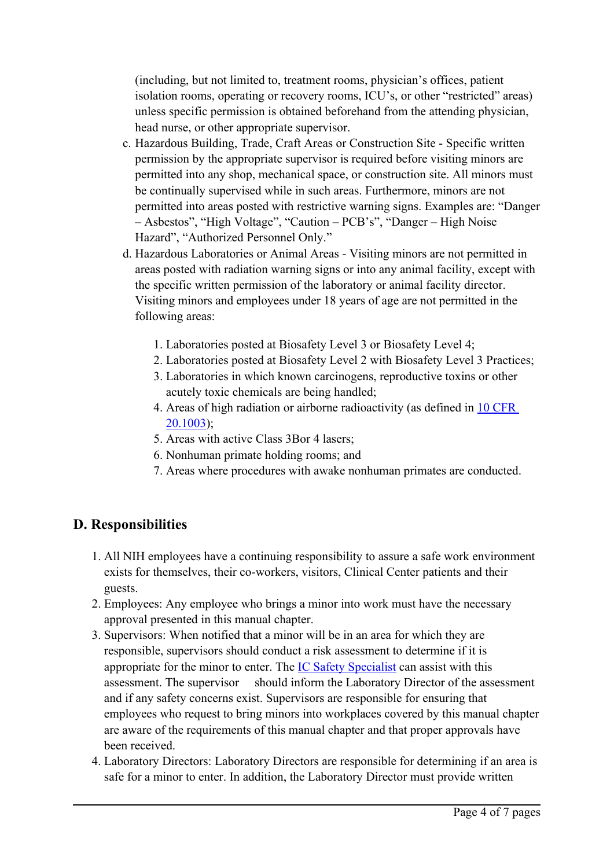(including, but not limited to, treatment rooms, physician'<sup>s</sup> offices, patient isolation rooms, operating or recovery rooms, ICU's, or other "restricted" areas) unless specific permission is obtained beforehand from the attending physician, head nurse, or other appropriate supervisor.

- c. Hazardous Building, Trade, Craft Areas or Construction Site Specific written permission by the appropriate supervisor is required before visiting minors are permitted into any shop, mechanical space, or construction site. All minors must be continually supervised while in such areas. Furthermore, minors are not permitted into areas posted with restrictive warning signs. Examples are: "Danger – Asbestos", "High Voltage", "Caution – PCB's", "Danger – High Noise Hazard", "Authorized Personnel Only."
- d. Hazardous Laboratories or Animal Areas Visiting minors are not permitted in areas posted with radiation warning signs or into any animal facility, excep<sup>t</sup> with the specific written permission of the laboratory or animal facility director. Visiting minors and employees under 18 years of age are not permitted in the following areas:
	- 1. Laboratories posted at Biosafety Level 3 or Biosafety Level 4;
	- 2. Laboratories posted at Biosafety Level 2 with Biosafety Level 3 Practices;
	- 3. Laboratories in which known carcinogens, reproductive toxins or other acutely toxic chemicals are being handled;
	- 4. Areas of high radiation or airborne radioactivity (as defined in 10 [CFR](http://www.nrc.gov/reading-rm/doc-collections/cfr/part020/part020-1003.html) [20.1003](http://www.nrc.gov/reading-rm/doc-collections/cfr/part020/part020-1003.html));
	- 5. Areas with active Class 3Bor 4 lasers;
	- 6. Nonhuman primate holding rooms; and
	- 7. Areas where procedures with awake nonhuman primates are conducted.

# **D. Responsibilities**

- 1. All NIH employees have <sup>a</sup> continuing responsibility to assure <sup>a</sup> safe work environment exists for themselves, their co-workers, visitors, Clinical Center patients and their guests.
- 2. Employees: Any employee who brings <sup>a</sup> minor into work must have the necessary approval presented in this manual chapter.
- 3. Supervisors: When notified that <sup>a</sup> minor will be in an area for which they are responsible, supervisors should conduct <sup>a</sup> risk assessment to determine if it is appropriate for the minor to enter. The **IC** Safety [Specialist](https://www.ors.od.nih.gov/sr/dohs/safety/laboratory/Pages/safety_health_specialists.aspx) can assist with this assessment. The supervisor should inform the Laboratory Director of the assessment and if any safety concerns exist. Supervisors are responsible for ensuring that employees who reques<sup>t</sup> to bring minors into workplaces covered by this manual chapter are aware of the requirements of this manual chapter and that proper approvals have been received.
- 4. Laboratory Directors: Laboratory Directors are responsible for determining if an area is safe for <sup>a</sup> minor to enter. In addition, the Laboratory Director must provide written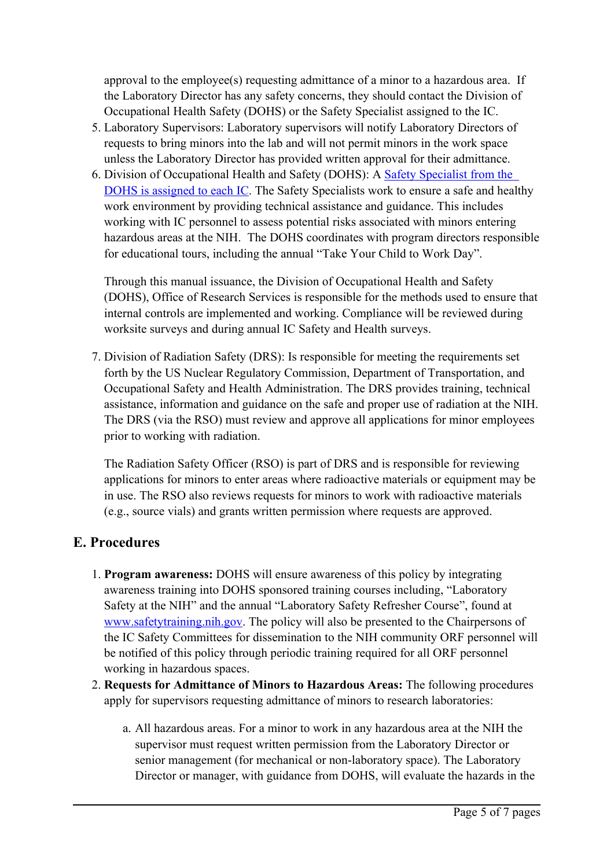approval to the employee(s) requesting admittance of <sup>a</sup> minor to <sup>a</sup> hazardous area. If the Laboratory Director has any safety concerns, they should contact the Division of Occupational Health Safety (DOHS) or the Safety Specialist assigned to the IC.

- 5. Laboratory Supervisors: Laboratory supervisors will notify Laboratory Directors of requests to bring minors into the lab and will not permit minors in the work space unless the Laboratory Director has provided written approval for their admittance.
- 6. Division of Occupational Health and Safety (DOHS): A Safety [Specialist](https://www.ors.od.nih.gov/sr/dohs/safety/laboratory/Pages/safety_health_specialists.aspx) from the DOHS is [assigned](https://www.ors.od.nih.gov/sr/dohs/safety/laboratory/Pages/safety_health_specialists.aspx) to each IC. The Safety Specialists work to ensure <sup>a</sup> safe and healthy work environment by providing technical assistance and guidance. This includes working with IC personnel to assess potential risks associated with minors entering hazardous areas at the NIH. The DOHS coordinates with program directors responsible for educational tours, including the annual "Take Your Child to Work Day".

Through this manual issuance, the Division of Occupational Health and Safety (DOHS), Office of Research Services is responsible for the methods used to ensure that internal controls are implemented and working. Compliance will be reviewed during worksite surveys and during annual IC Safety and Health surveys.

7. Division of Radiation Safety (DRS): Is responsible for meeting the requirements set forth by the US Nuclear Regulatory Commission, Department of Transportation, and Occupational Safety and Health Administration. The DRS provides training, technical assistance, information and guidance on the safe and proper use of radiation at the NIH. The DRS (via the RSO) must review and approve all applications for minor employees prior to working with radiation.

The Radiation Safety Officer (RSO) is par<sup>t</sup> of DRS and is responsible for reviewing applications for minors to enter areas where radioactive materials or equipment may be in use. The RSO also reviews requests for minors to work with radioactive materials (e.g., source vials) and grants written permission where requests are approved.

# **E. Procedures**

- 1. **Program awareness:** DOHS will ensure awareness of this policy by integrating awareness training into DOHS sponsored training courses including, "Laboratory Safety at the NIH" and the annual "Laboratory Safety Refresher Course", found at [www.safetytraining.nih.gov](http://www.safetytraining.nih.gov/). The policy will also be presented to the Chairpersons of the IC Safety Committees for dissemination to the NIH community ORF personnel will be notified of this policy through periodic training required for all ORF personnel working in hazardous spaces.
- 2. **Requests for Admittance of Minors to Hazardous Areas:** The following procedures apply for supervisors requesting admittance of minors to research laboratories:
	- a. All hazardous areas. For <sup>a</sup> minor to work in any hazardous area at the NIH the supervisor must reques<sup>t</sup> written permission from the Laboratory Director or senior managemen<sup>t</sup> (for mechanical or non-laboratory space). The Laboratory Director or manager, with guidance from DOHS, will evaluate the hazards in the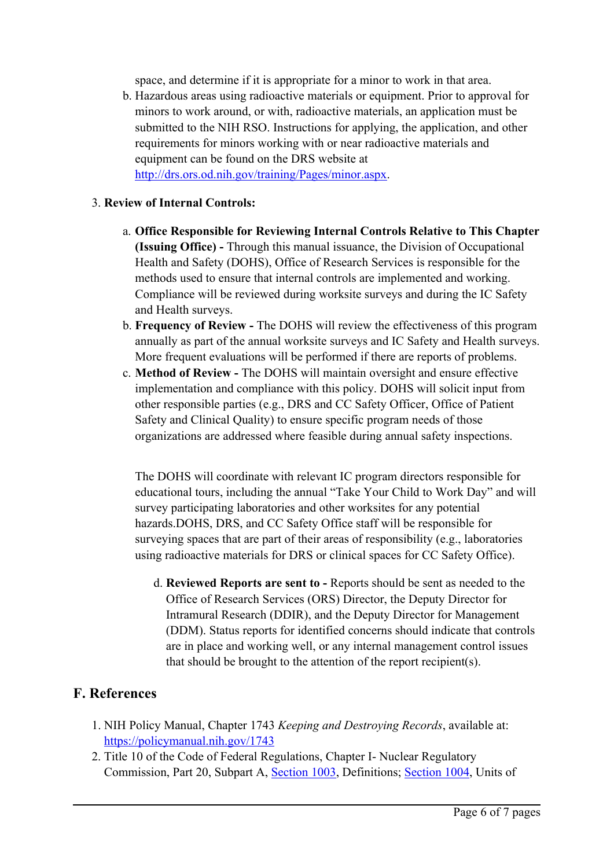space, and determine if it is appropriate for <sup>a</sup> minor to work in that area.

b. Hazardous areas using radioactive materials or equipment. Prior to approval for minors to work around, or with, radioactive materials, an application must be submitted to the NIH RSO. Instructions for applying, the application, and other requirements for minors working with or near radioactive materials and equipment can be found on the DRS website at <http://drs.ors.od.nih.gov/training/Pages/minor.aspx>.

#### 3. **Review of Internal Controls:**

- a. **Office Responsible for Reviewing Internal Controls Relative to This Chapter (Issuing Office) -** Through this manual issuance, the Division of Occupational Health and Safety (DOHS), Office of Research Services is responsible for the methods used to ensure that internal controls are implemented and working. Compliance will be reviewed during worksite surveys and during the IC Safety and Health surveys.
- b. **Frequency of Review -** The DOHS will review the effectiveness of this program annually as par<sup>t</sup> of the annual worksite surveys and IC Safety and Health surveys. More frequent evaluations will be performed if there are reports of problems.
- c. **Method of Review -** The DOHS will maintain oversight and ensure effective implementation and compliance with this policy. DOHS will solicit input from other responsible parties (e.g., DRS and CC Safety Officer, Office of Patient Safety and Clinical Quality) to ensure specific program needs of those organizations are addressed where feasible during annual safety inspections.

The DOHS will coordinate with relevant IC program directors responsible for educational tours, including the annual "Take Your Child to Work Day" and will survey participating laboratories and other worksites for any potential hazards.DOHS, DRS, and CC Safety Office staff will be responsible for surveying spaces that are par<sup>t</sup> of their areas of responsibility (e.g., laboratories using radioactive materials for DRS or clinical spaces for CC Safety Office).

d. **Reviewed Reports are sent to -** Reports should be sent as needed to the Office of Research Services (ORS) Director, the Deputy Director for Intramural Research (DDIR), and the Deputy Director for Management (DDM). Status reports for identified concerns should indicate that controls are in place and working well, or any internal managemen<sup>t</sup> control issues that should be brought to the attention of the repor<sup>t</sup> recipient(s).

#### **F. References**

- 1. NIH Policy Manual, Chapter 1743 *Keeping and Destroying Records*, available at: <https://policymanual.nih.gov/1743>
- 2. Title 10 of the Code of Federal Regulations, Chapter I- Nuclear Regulatory Commission, Part 20, Subpart A, [Section](https://www.nrc.gov/reading-rm/doc-collections/cfr/part020/part020-1003.html) 1003, Definitions; [Section](http://www.nrc.gov/reading-rm/doc-collections/cfr/part020/part020-1004.html) 1004, Units of